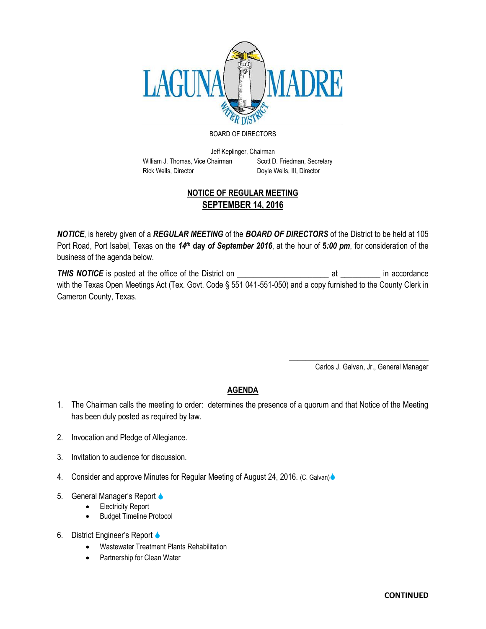

## BOARD OF DIRECTORS

Jeff Keplinger, Chairman William J. Thomas, Vice Chairman Scott D. Friedman, Secretary Rick Wells, Director **Doyle Wells, III, Director** 

## **NOTICE OF REGULAR MEETING SEPTEMBER 14, 2016**

*NOTICE*, is hereby given of a *REGULAR MEETING* of the *BOARD OF DIRECTORS* of the District to be held at 105 Port Road, Port Isabel, Texas on the 14<sup>th</sup> day of September 2016, at the hour of 5*:00 pm*, for consideration of the business of the agenda below.

*THIS NOTICE* is posted at the office of the District on \_\_\_\_\_\_\_\_\_\_\_\_\_\_\_\_\_\_\_\_\_\_\_ at \_\_\_\_\_\_\_\_\_\_ in accordance with the Texas Open Meetings Act (Tex. Govt. Code § 551 041-551-050) and a copy furnished to the County Clerk in Cameron County, Texas.

> \_\_\_\_\_\_\_\_\_\_\_\_\_\_\_\_\_\_\_\_\_\_\_\_\_\_\_\_\_\_\_\_\_\_\_ Carlos J. Galvan, Jr., General Manager

## **AGENDA**

- 1. The Chairman calls the meeting to order: determines the presence of a quorum and that Notice of the Meeting has been duly posted as required by law.
- 2. Invocation and Pledge of Allegiance.
- 3. Invitation to audience for discussion.
- 4. Consider and approve Minutes for Regular Meeting of August 24, 2016. (C. Galvan)
- 5. General Manager's Report
	- Electricity Report
	- Budget Timeline Protocol
- 6. District Engineer's Report
	- Wastewater Treatment Plants Rehabilitation
	- Partnership for Clean Water